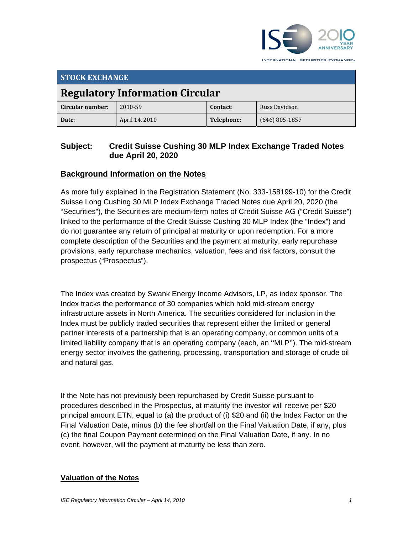

**STOCK EXCHANGE Regulatory Information Circular Circular number**: 2010‐59 **contact:** Russ Davidson **Date**: April 14, 2010 **Telephone**: (646) 805‐1857

# **Subject: Credit Suisse Cushing 30 MLP Index Exchange Traded Notes due April 20, 2020**

# **Background Information on the Notes**

As more fully explained in the Registration Statement (No. 333-158199-10) for the Credit Suisse Long Cushing 30 MLP Index Exchange Traded Notes due April 20, 2020 (the "Securities"), the Securities are medium-term notes of Credit Suisse AG ("Credit Suisse") linked to the performance of the Credit Suisse Cushing 30 MLP Index (the "Index") and do not guarantee any return of principal at maturity or upon redemption. For a more complete description of the Securities and the payment at maturity, early repurchase provisions, early repurchase mechanics, valuation, fees and risk factors, consult the prospectus ("Prospectus").

The Index was created by Swank Energy Income Advisors, LP, as index sponsor. The Index tracks the performance of 30 companies which hold mid-stream energy infrastructure assets in North America. The securities considered for inclusion in the Index must be publicly traded securities that represent either the limited or general partner interests of a partnership that is an operating company, or common units of a limited liability company that is an operating company (each, an ''MLP''). The mid-stream energy sector involves the gathering, processing, transportation and storage of crude oil and natural gas.

If the Note has not previously been repurchased by Credit Suisse pursuant to procedures described in the Prospectus, at maturity the investor will receive per \$20 principal amount ETN, equal to (a) the product of (i) \$20 and (ii) the Index Factor on the Final Valuation Date, minus (b) the fee shortfall on the Final Valuation Date, if any, plus (c) the final Coupon Payment determined on the Final Valuation Date, if any. In no event, however, will the payment at maturity be less than zero.

### **Valuation of the Notes**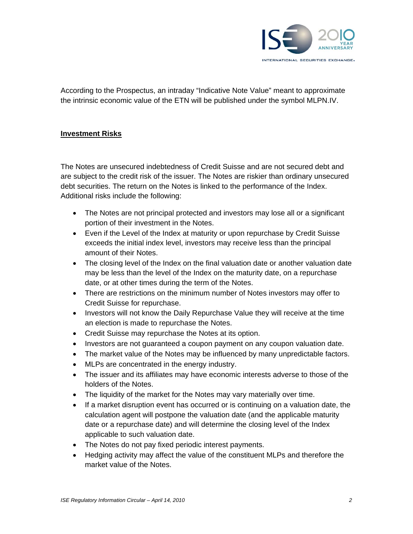

According to the Prospectus, an intraday "Indicative Note Value" meant to approximate the intrinsic economic value of the ETN will be published under the symbol MLPN.IV.

### **Investment Risks**

The Notes are unsecured indebtedness of Credit Suisse and are not secured debt and are subject to the credit risk of the issuer. The Notes are riskier than ordinary unsecured debt securities. The return on the Notes is linked to the performance of the Index. Additional risks include the following:

- The Notes are not principal protected and investors may lose all or a significant portion of their investment in the Notes.
- Even if the Level of the Index at maturity or upon repurchase by Credit Suisse exceeds the initial index level, investors may receive less than the principal amount of their Notes.
- The closing level of the Index on the final valuation date or another valuation date may be less than the level of the Index on the maturity date, on a repurchase date, or at other times during the term of the Notes.
- There are restrictions on the minimum number of Notes investors may offer to Credit Suisse for repurchase.
- Investors will not know the Daily Repurchase Value they will receive at the time an election is made to repurchase the Notes.
- Credit Suisse may repurchase the Notes at its option.
- Investors are not guaranteed a coupon payment on any coupon valuation date.
- The market value of the Notes may be influenced by many unpredictable factors.
- MLPs are concentrated in the energy industry.
- The issuer and its affiliates may have economic interests adverse to those of the holders of the Notes.
- The liquidity of the market for the Notes may vary materially over time.
- If a market disruption event has occurred or is continuing on a valuation date, the calculation agent will postpone the valuation date (and the applicable maturity date or a repurchase date) and will determine the closing level of the Index applicable to such valuation date.
- The Notes do not pay fixed periodic interest payments.
- Hedging activity may affect the value of the constituent MLPs and therefore the market value of the Notes.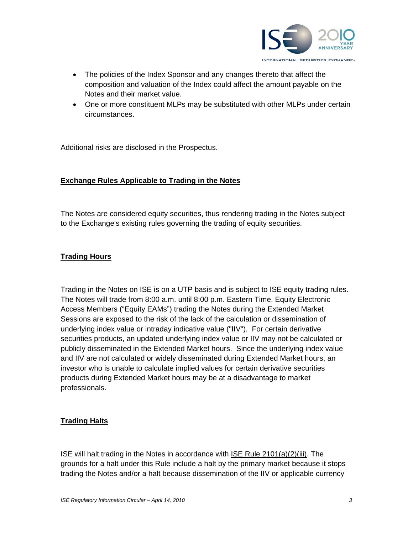

- The policies of the Index Sponsor and any changes thereto that affect the composition and valuation of the Index could affect the amount payable on the Notes and their market value.
- One or more constituent MLPs may be substituted with other MLPs under certain circumstances.

Additional risks are disclosed in the Prospectus.

### **Exchange Rules Applicable to Trading in the Notes**

The Notes are considered equity securities, thus rendering trading in the Notes subject to the Exchange's existing rules governing the trading of equity securities.

### **Trading Hours**

Trading in the Notes on ISE is on a UTP basis and is subject to ISE equity trading rules. The Notes will trade from 8:00 a.m. until 8:00 p.m. Eastern Time. Equity Electronic Access Members ("Equity EAMs") trading the Notes during the Extended Market Sessions are exposed to the risk of the lack of the calculation or dissemination of underlying index value or intraday indicative value ("IIV"). For certain derivative securities products, an updated underlying index value or IIV may not be calculated or publicly disseminated in the Extended Market hours. Since the underlying index value and IIV are not calculated or widely disseminated during Extended Market hours, an investor who is unable to calculate implied values for certain derivative securities products during Extended Market hours may be at a disadvantage to market professionals.

## **Trading Halts**

ISE will halt trading in the Notes in accordance with ISE Rule 2101(a)(2)(iii). The grounds for a halt under this Rule include a halt by the primary market because it stops trading the Notes and/or a halt because dissemination of the IIV or applicable currency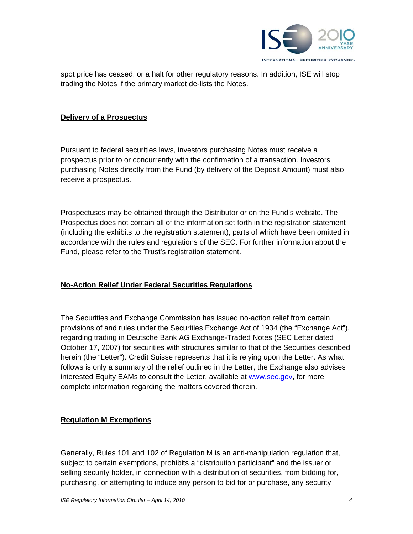

spot price has ceased, or a halt for other regulatory reasons. In addition, ISE will stop trading the Notes if the primary market de-lists the Notes.

#### **Delivery of a Prospectus**

Pursuant to federal securities laws, investors purchasing Notes must receive a prospectus prior to or concurrently with the confirmation of a transaction. Investors purchasing Notes directly from the Fund (by delivery of the Deposit Amount) must also receive a prospectus.

Prospectuses may be obtained through the Distributor or on the Fund's website. The Prospectus does not contain all of the information set forth in the registration statement (including the exhibits to the registration statement), parts of which have been omitted in accordance with the rules and regulations of the SEC. For further information about the Fund, please refer to the Trust's registration statement.

### **No-Action Relief Under Federal Securities Regulations**

The Securities and Exchange Commission has issued no-action relief from certain provisions of and rules under the Securities Exchange Act of 1934 (the "Exchange Act"), regarding trading in Deutsche Bank AG Exchange-Traded Notes (SEC Letter dated October 17, 2007) for securities with structures similar to that of the Securities described herein (the "Letter"). Credit Suisse represents that it is relying upon the Letter. As what follows is only a summary of the relief outlined in the Letter, the Exchange also advises interested Equity EAMs to consult the Letter, available at www.sec.gov, for more complete information regarding the matters covered therein.

### **Regulation M Exemptions**

Generally, Rules 101 and 102 of Regulation M is an anti-manipulation regulation that, subject to certain exemptions, prohibits a "distribution participant" and the issuer or selling security holder, in connection with a distribution of securities, from bidding for, purchasing, or attempting to induce any person to bid for or purchase, any security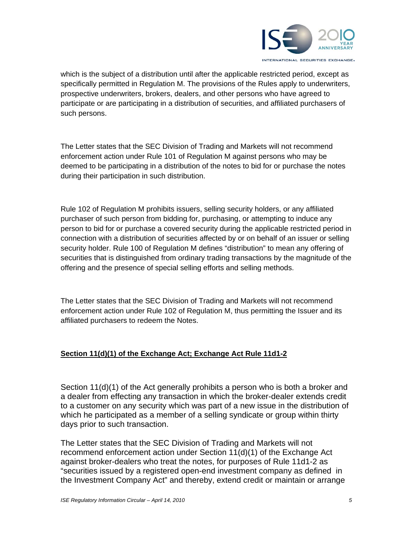

which is the subject of a distribution until after the applicable restricted period, except as specifically permitted in Regulation M. The provisions of the Rules apply to underwriters, prospective underwriters, brokers, dealers, and other persons who have agreed to participate or are participating in a distribution of securities, and affiliated purchasers of such persons.

The Letter states that the SEC Division of Trading and Markets will not recommend enforcement action under Rule 101 of Regulation M against persons who may be deemed to be participating in a distribution of the notes to bid for or purchase the notes during their participation in such distribution.

Rule 102 of Regulation M prohibits issuers, selling security holders, or any affiliated purchaser of such person from bidding for, purchasing, or attempting to induce any person to bid for or purchase a covered security during the applicable restricted period in connection with a distribution of securities affected by or on behalf of an issuer or selling security holder. Rule 100 of Regulation M defines "distribution" to mean any offering of securities that is distinguished from ordinary trading transactions by the magnitude of the offering and the presence of special selling efforts and selling methods.

The Letter states that the SEC Division of Trading and Markets will not recommend enforcement action under Rule 102 of Regulation M, thus permitting the Issuer and its affiliated purchasers to redeem the Notes.

## **Section 11(d)(1) of the Exchange Act; Exchange Act Rule 11d1-2**

Section 11(d)(1) of the Act generally prohibits a person who is both a broker and a dealer from effecting any transaction in which the broker-dealer extends credit to a customer on any security which was part of a new issue in the distribution of which he participated as a member of a selling syndicate or group within thirty days prior to such transaction.

The Letter states that the SEC Division of Trading and Markets will not recommend enforcement action under Section 11(d)(1) of the Exchange Act against broker-dealers who treat the notes, for purposes of Rule 11d1-2 as "securities issued by a registered open-end investment company as defined in the Investment Company Act" and thereby, extend credit or maintain or arrange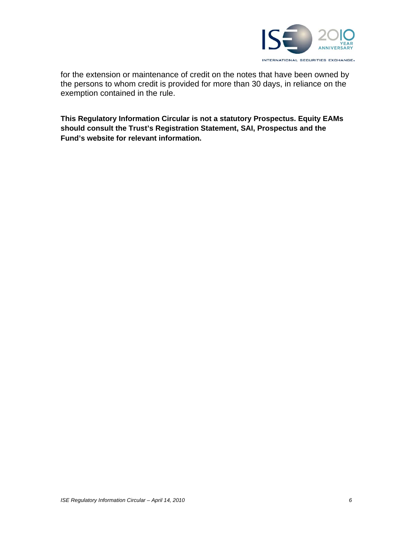

for the extension or maintenance of credit on the notes that have been owned by the persons to whom credit is provided for more than 30 days, in reliance on the exemption contained in the rule.

**This Regulatory Information Circular is not a statutory Prospectus. Equity EAMs should consult the Trust's Registration Statement, SAI, Prospectus and the Fund's website for relevant information.**